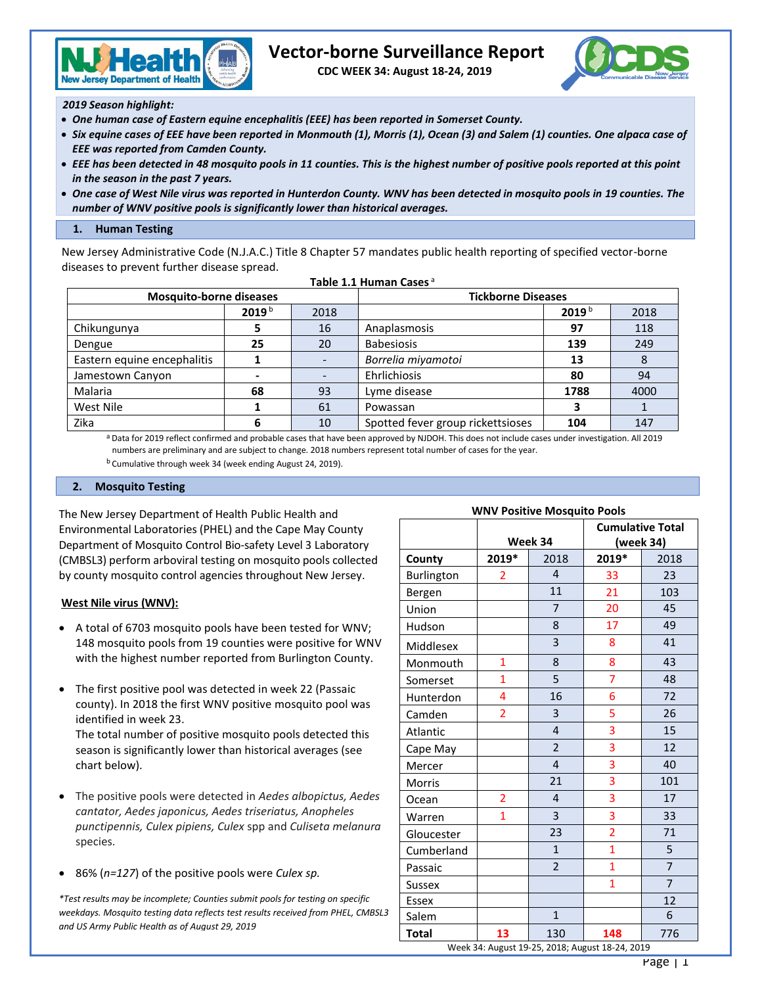

# **Vector-borne Surveillance Report**

 **CDC WEEK 34: August 18-24, 2019**



*2019 Season highlight:*

- *One human case of Eastern equine encephalitis (EEE) has been reported in Somerset County.*
- *Six equine cases of EEE have been reported in Monmouth (1), Morris (1), Ocean (3) and Salem (1) counties. One alpaca case of EEE was reported from Camden County.*
- *EEE has been detected in 48 mosquito pools in 11 counties. This is the highest number of positive pools reported at this point in the season in the past 7 years.*
- *One case of West Nile virus was reported in Hunterdon County. WNV has been detected in mosquito pools in 19 counties. The number of WNV positive pools is significantly lower than historical averages.*

### **1. Human Testing**

New Jersey Administrative Code (N.J.A.C.) Title 8 Chapter 57 mandates public health reporting of specified vector-borne diseases to prevent further disease spread.

**Table 1.1 Human Cases** <sup>a</sup>

| <b>Mosquito-borne diseases</b> |                   |      | <b>Tickborne Diseases</b>         |                   |      |  |
|--------------------------------|-------------------|------|-----------------------------------|-------------------|------|--|
|                                | 2019 <sup>b</sup> | 2018 |                                   | 2019 <sup>b</sup> | 2018 |  |
| Chikungunya                    |                   | 16   | Anaplasmosis                      | 97                | 118  |  |
| Dengue                         | 25                | 20   | <b>Babesiosis</b>                 | 139               | 249  |  |
| Eastern equine encephalitis    |                   |      | Borrelia miyamotoi                | 13                | 8    |  |
| Jamestown Canyon               |                   |      | Ehrlichiosis                      | 80                | 94   |  |
| Malaria                        | 68                | 93   | Lyme disease                      | 1788              | 4000 |  |
| West Nile                      |                   | 61   | Powassan                          |                   |      |  |
| Zika                           |                   | 10   | Spotted fever group rickettsioses | 104               | 147  |  |

a Data for 2019 reflect confirmed and probable cases that have been approved by NJDOH. This does not include cases under investigation. All 2019 numbers are preliminary and are subject to change. 2018 numbers represent total number of cases for the year.

<sup>b</sup> Cumulative through week 34 (week ending August 24, 2019).

### **2. Mosquito Testing**

The New Jersey Department of Health Public Health and Environmental Laboratories (PHEL) and the Cape May County Department of Mosquito Control Bio-safety Level 3 Laboratory (CMBSL3) perform arboviral testing on mosquito pools collected by county mosquito control agencies throughout New Jersey.

# **West Nile virus (WNV):**

- A total of 6703 mosquito pools have been tested for WNV; 148 mosquito pools from 19 counties were positive for WNV with the highest number reported from Burlington County.
- The first positive pool was detected in week 22 (Passaic county). In 2018 the first WNV positive mosquito pool was identified in week 23. The total number of positive mosquito pools detected this

season is significantly lower than historical averages (see chart below).

- The positive pools were detected in *Aedes albopictus, Aedes cantator, Aedes japonicus, Aedes triseriatus, Anopheles punctipennis, Culex pipiens, Culex* spp and *Culiseta melanura*  species.
- 86% (*n=127*) of the positive pools were *Culex sp.*

*\*Test results may be incomplete; Counties submit pools for testing on specific weekdays. Mosquito testing data reflects test results received from PHEL, CMBSL3 and US Army Public Health as of August 29, 2019*

| <b>WNV Positive Mosquito Pools</b> |                |                |                         |                |  |  |  |
|------------------------------------|----------------|----------------|-------------------------|----------------|--|--|--|
|                                    |                |                | <b>Cumulative Total</b> |                |  |  |  |
|                                    |                | Week 34        | (week 34)               |                |  |  |  |
| County                             | 2019*<br>2018  |                | 2019*                   | 2018           |  |  |  |
| Burlington                         | $\overline{2}$ | $\overline{4}$ | 33                      | 23             |  |  |  |
| Bergen                             |                | 11             | 21                      | 103            |  |  |  |
| Union                              |                | $\overline{7}$ | 20                      | 45             |  |  |  |
| Hudson                             |                | 8              | 17                      | 49             |  |  |  |
| Middlesex                          |                | 3              | 8                       | 41             |  |  |  |
| Monmouth                           | $\mathbf{1}$   | 8              | 8                       | 43             |  |  |  |
| Somerset                           | $\overline{1}$ | 5              | $\overline{7}$          | 48             |  |  |  |
| Hunterdon                          | 4              | 16             | 6                       | 72             |  |  |  |
| Camden                             | $\overline{2}$ | 3              | 5                       | 26             |  |  |  |
| Atlantic                           |                | 4              | 3                       | 15             |  |  |  |
| Cape May                           |                | $\overline{2}$ | 3                       | 12             |  |  |  |
| Mercer                             |                | $\overline{4}$ | 3                       | 40             |  |  |  |
| Morris                             |                | 21             | 3                       | 101            |  |  |  |
| Ocean                              | $\overline{2}$ | 4              | 3                       | 17             |  |  |  |
| Warren                             | 1              | 3              | 3                       | 33             |  |  |  |
| Gloucester                         |                | 23             | $\overline{2}$          | 71             |  |  |  |
| Cumberland                         |                | $\mathbf{1}$   | $\overline{1}$          | 5              |  |  |  |
| Passaic                            |                | $\overline{2}$ | $\overline{1}$          | $\overline{7}$ |  |  |  |
| <b>Sussex</b>                      |                |                | $\overline{1}$          | $\overline{7}$ |  |  |  |
| <b>Essex</b>                       |                |                |                         | 12             |  |  |  |
| Salem                              |                | $\mathbf{1}$   |                         | 6              |  |  |  |
| Total                              | 13             | 130            | 148                     | 776            |  |  |  |

Week 34: August 19-25, 2018; August 18-24, 2019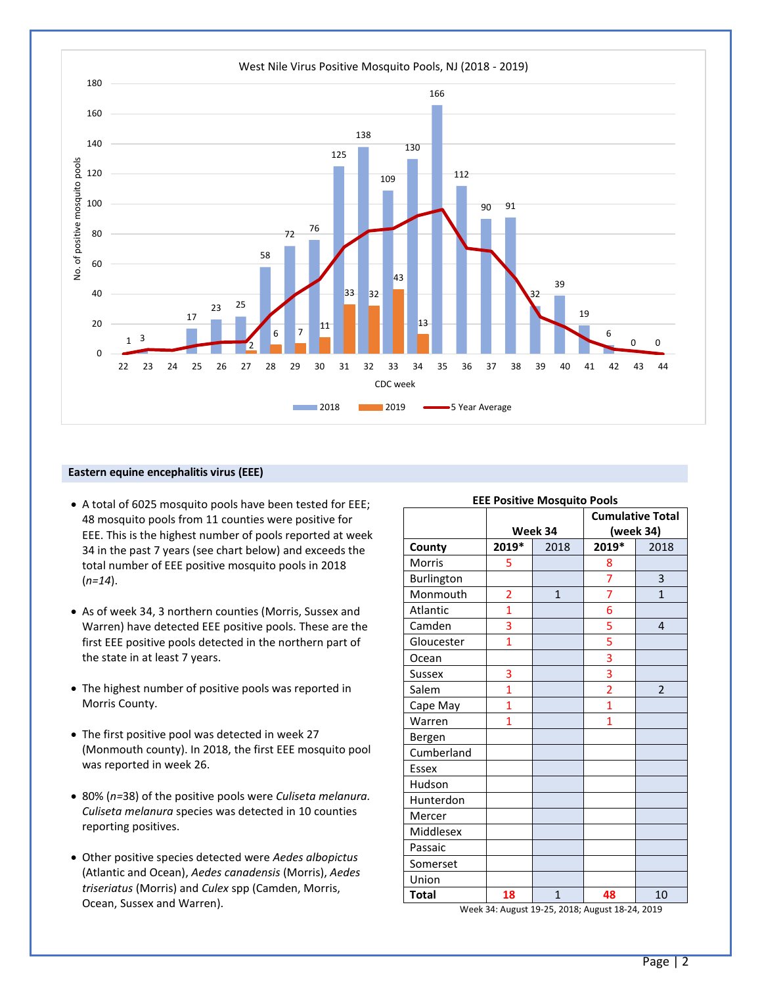

### **Eastern equine encephalitis virus (EEE)**

- A total of 6025 mosquito pools have been tested for EEE; 48 mosquito pools from 11 counties were positive for EEE. This is the highest number of pools reported at week 34 in the past 7 years (see chart below) and exceeds the total number of EEE positive mosquito pools in 2018 (*n=14*).
- As of week 34, 3 northern counties (Morris, Sussex and Warren) have detected EEE positive pools. These are the first EEE positive pools detected in the northern part of the state in at least 7 years.
- The highest number of positive pools was reported in Morris County.
- The first positive pool was detected in week 27 (Monmouth county). In 2018, the first EEE mosquito pool was reported in week 26.
- 80% (*n=*38) of the positive pools were *Culiseta melanura. Culiseta melanura* species was detected in 10 counties reporting positives.
- Other positive species detected were *Aedes albopictus*  (Atlantic and Ocean), *Aedes canadensis* (Morris), *Aedes triseriatus* (Morris) and *Culex* spp (Camden, Morris, Ocean, Sussex and Warren).

| <b>EEE Positive Mosquito Pools</b> |                |              |                         |                |  |  |  |
|------------------------------------|----------------|--------------|-------------------------|----------------|--|--|--|
|                                    |                |              | <b>Cumulative Total</b> |                |  |  |  |
|                                    |                | Week 34      | (week 34)               |                |  |  |  |
| County                             | 2019*          | 2018         | 2019*                   | 2018           |  |  |  |
| Morris                             | 5              |              | 8                       |                |  |  |  |
| Burlington                         |                |              | 7                       | 3              |  |  |  |
| Monmouth                           | 2              | $\mathbf{1}$ | 7                       | $\mathbf{1}$   |  |  |  |
| Atlantic                           | $\overline{1}$ |              | 6                       |                |  |  |  |
| Camden                             | 3              |              | 5                       | $\overline{4}$ |  |  |  |
| Gloucester                         | $\overline{1}$ |              | 5                       |                |  |  |  |
| Ocean                              |                |              | $\overline{\mathbf{3}}$ |                |  |  |  |
| Sussex                             | 3              |              | $\overline{\mathbf{3}}$ |                |  |  |  |
| Salem                              | $\overline{1}$ |              | $\overline{2}$          | $\overline{2}$ |  |  |  |
| Cape May                           | $\overline{1}$ |              | $\overline{1}$          |                |  |  |  |
| Warren                             | $\overline{1}$ |              | $\overline{1}$          |                |  |  |  |
| Bergen                             |                |              |                         |                |  |  |  |
| Cumberland                         |                |              |                         |                |  |  |  |
| <b>Essex</b>                       |                |              |                         |                |  |  |  |
| Hudson                             |                |              |                         |                |  |  |  |
| Hunterdon                          |                |              |                         |                |  |  |  |
| Mercer                             |                |              |                         |                |  |  |  |
| Middlesex                          |                |              |                         |                |  |  |  |
| Passaic                            |                |              |                         |                |  |  |  |
| Somerset                           |                |              |                         |                |  |  |  |
| Union                              |                |              |                         |                |  |  |  |
| <b>Total</b>                       | 18             | $\mathbf{1}$ | 48                      | 10             |  |  |  |

Week 34: August 19-25, 2018; August 18-24, 2019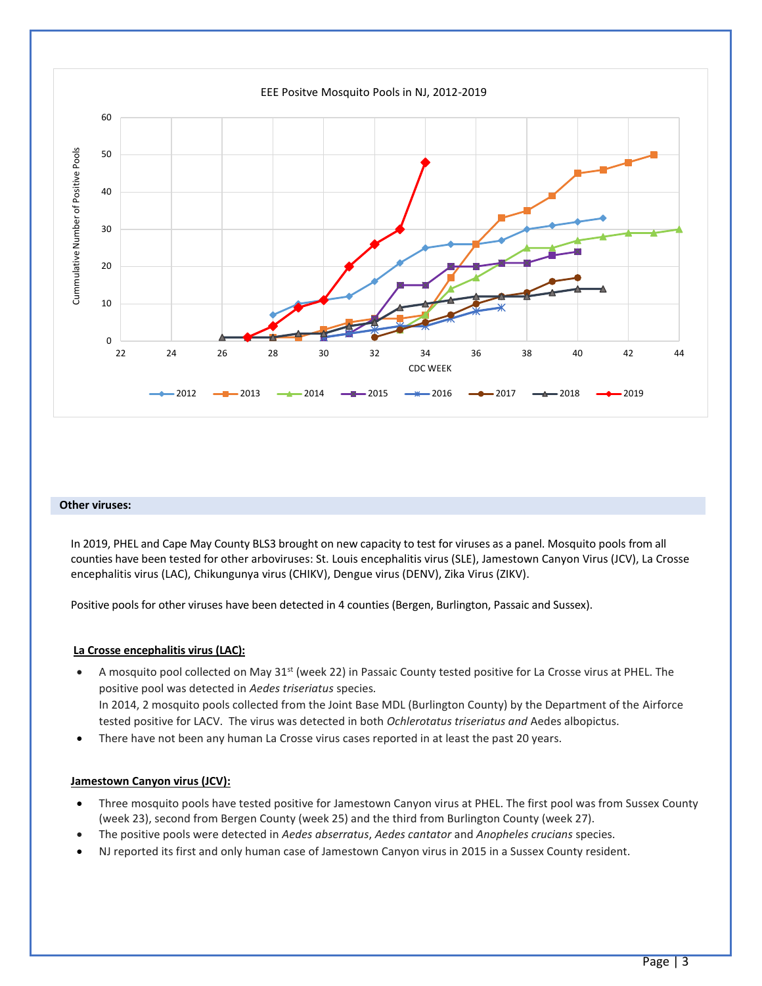

#### **Other viruses:**

In 2019, PHEL and Cape May County BLS3 brought on new capacity to test for viruses as a panel. Mosquito pools from all counties have been tested for other arboviruses: St. Louis encephalitis virus (SLE), Jamestown Canyon Virus (JCV), La Crosse encephalitis virus (LAC), Chikungunya virus (CHIKV), Dengue virus (DENV), Zika Virus (ZIKV).

Positive pools for other viruses have been detected in 4 counties (Bergen, Burlington, Passaic and Sussex).

#### **La Crosse encephalitis virus (LAC):**

- A mosquito pool collected on May  $31^{st}$  (week 22) in Passaic County tested positive for La Crosse virus at PHEL. The positive pool was detected in *Aedes triseriatus* species*.*  In 2014, 2 mosquito pools collected from the Joint Base MDL (Burlington County) by the Department of the Airforce tested positive for LACV. The virus was detected in both *Ochlerotatus triseriatus and* Aedes albopictus.
- There have not been any human La Crosse virus cases reported in at least the past 20 years.

#### **Jamestown Canyon virus (JCV):**

- Three mosquito pools have tested positive for Jamestown Canyon virus at PHEL. The first pool was from Sussex County (week 23), second from Bergen County (week 25) and the third from Burlington County (week 27).
- The positive pools were detected in *Aedes abserratus*, *Aedes cantator* and *Anopheles crucians* species.
- NJ reported its first and only human case of Jamestown Canyon virus in 2015 in a Sussex County resident.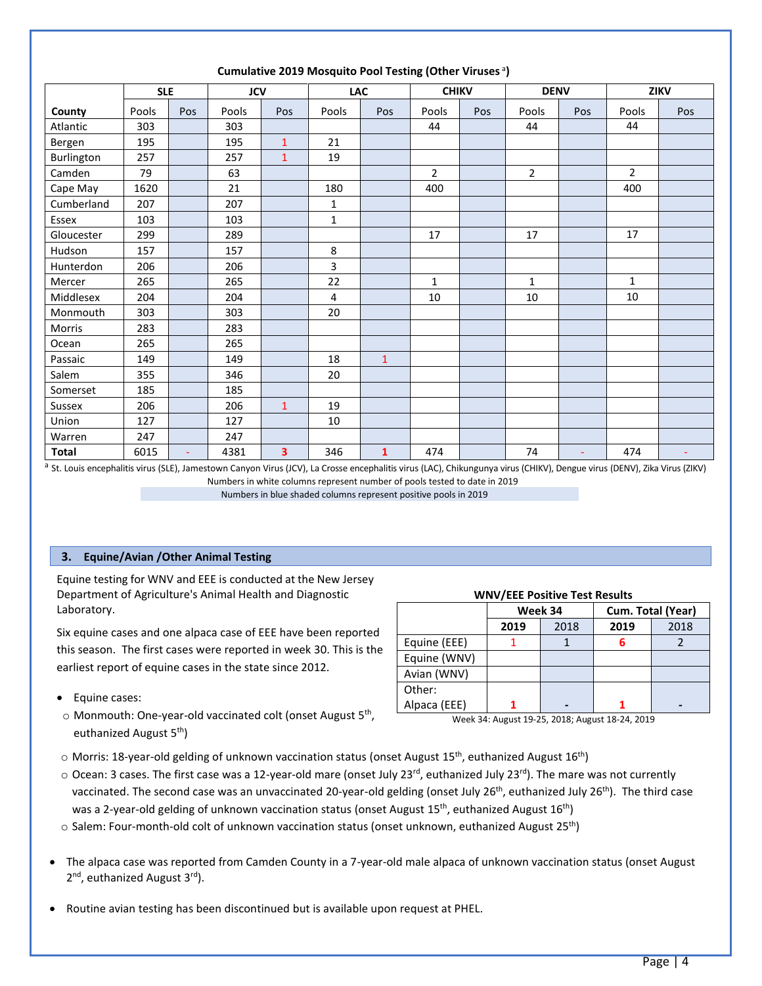|              | <b>SLE</b> |     | <b>JCV</b> |                         | <b>LAC</b>   |              | <b>CHIKV</b> |     | <b>DENV</b>    |                | <b>ZIKV</b>    |                |
|--------------|------------|-----|------------|-------------------------|--------------|--------------|--------------|-----|----------------|----------------|----------------|----------------|
| County       | Pools      | Pos | Pools      | Pos                     | Pools        | Pos          | Pools        | Pos | Pools          | Pos            | Pools          | Pos            |
| Atlantic     | 303        |     | 303        |                         |              |              | 44           |     | 44             |                | 44             |                |
| Bergen       | 195        |     | 195        | $\mathbf{1}$            | 21           |              |              |     |                |                |                |                |
| Burlington   | 257        |     | 257        | $\mathbf{1}$            | 19           |              |              |     |                |                |                |                |
| Camden       | 79         |     | 63         |                         |              |              | $\mathbf{2}$ |     | $\overline{2}$ |                | $\overline{2}$ |                |
| Cape May     | 1620       |     | 21         |                         | 180          |              | 400          |     |                |                | 400            |                |
| Cumberland   | 207        |     | 207        |                         | 1            |              |              |     |                |                |                |                |
| Essex        | 103        |     | 103        |                         | $\mathbf{1}$ |              |              |     |                |                |                |                |
| Gloucester   | 299        |     | 289        |                         |              |              | 17           |     | 17             |                | 17             |                |
| Hudson       | 157        |     | 157        |                         | 8            |              |              |     |                |                |                |                |
| Hunterdon    | 206        |     | 206        |                         | 3            |              |              |     |                |                |                |                |
| Mercer       | 265        |     | 265        |                         | 22           |              | $\mathbf{1}$ |     | 1              |                | $\mathbf{1}$   |                |
| Middlesex    | 204        |     | 204        |                         | 4            |              | 10           |     | 10             |                | 10             |                |
| Monmouth     | 303        |     | 303        |                         | 20           |              |              |     |                |                |                |                |
| Morris       | 283        |     | 283        |                         |              |              |              |     |                |                |                |                |
| Ocean        | 265        |     | 265        |                         |              |              |              |     |                |                |                |                |
| Passaic      | 149        |     | 149        |                         | 18           | $\mathbf 1$  |              |     |                |                |                |                |
| Salem        | 355        |     | 346        |                         | 20           |              |              |     |                |                |                |                |
| Somerset     | 185        |     | 185        |                         |              |              |              |     |                |                |                |                |
| Sussex       | 206        |     | 206        | $\mathbf{1}$            | 19           |              |              |     |                |                |                |                |
| Union        | 127        |     | 127        |                         | 10           |              |              |     |                |                |                |                |
| Warren       | 247        |     | 247        |                         |              |              |              |     |                |                |                |                |
| <b>Total</b> | 6015       | ÷.  | 4381       | $\overline{\mathbf{3}}$ | 346          | $\mathbf{1}$ | 474          |     | 74             | $\blacksquare$ | 474            | $\blacksquare$ |

# Cumulative 2019 Mosquito Pool Testing (Other Viruses<sup>a</sup>)

<sup>a</sup> St. Louis encephalitis virus (SLE), Jamestown Canyon Virus (JCV), La Crosse encephalitis virus (LAC), Chikungunya virus (CHIKV), Dengue virus (DENV), Zika Virus (ZIKV) Numbers in white columns represent number of pools tested to date in 2019

Numbers in blue shaded columns represent positive pools in 2019

# **3. Equine/Avian /Other Animal Testing**

Equine testing for WNV and EEE is conducted at the New Jersey Department of Agriculture's Animal Health and Diagnostic Laboratory.

Six equine cases and one alpaca case of EEE have been reported this season. The first cases were reported in week 30. This is the earliest report of equine cases in the state since 2012.

- Equine cases:
- o Monmouth: One-year-old vaccinated colt (onset August 5<sup>th</sup>, euthanized August 5<sup>th</sup>)

# **WNV/EEE Positive Test Results**

|              |      | Week 34 | Cum. Total (Year) |      |  |  |
|--------------|------|---------|-------------------|------|--|--|
|              | 2019 | 2018    | 2019              | 2018 |  |  |
| Equine (EEE) |      |         |                   |      |  |  |
| Equine (WNV) |      |         |                   |      |  |  |
| Avian (WNV)  |      |         |                   |      |  |  |
| Other:       |      |         |                   |      |  |  |
| Alpaca (EEE) |      |         |                   |      |  |  |

Week 34: August 19-25, 2018; August 18-24, 2019

- $\circ$  Morris: 18-year-old gelding of unknown vaccination status (onset August 15<sup>th</sup>, euthanized August 16<sup>th</sup>)
- o Ocean: 3 cases. The first case was a 12-year-old mare (onset July 23<sup>rd</sup>, euthanized July 23<sup>rd</sup>). The mare was not currently vaccinated. The second case was an unvaccinated 20-year-old gelding (onset July 26<sup>th</sup>, euthanized July 26<sup>th</sup>). The third case was a 2-year-old gelding of unknown vaccination status (onset August 15<sup>th</sup>, euthanized August 16<sup>th</sup>)
- $\circ$  Salem: Four-month-old colt of unknown vaccination status (onset unknown, euthanized August 25<sup>th</sup>)
- The alpaca case was reported from Camden County in a 7-year-old male alpaca of unknown vaccination status (onset August 2<sup>nd</sup>, euthanized August 3<sup>rd</sup>).
- Routine avian testing has been discontinued but is available upon request at PHEL.